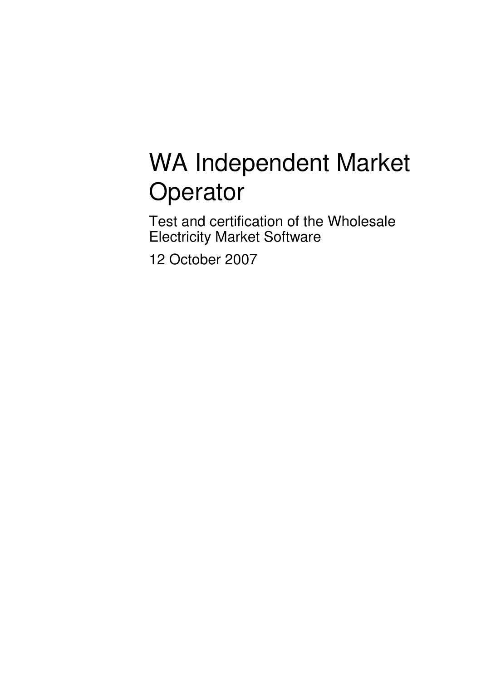# WA Independent Market **Operator**

Test and certification of the Wholesale Electricity Market Software

12 October 2007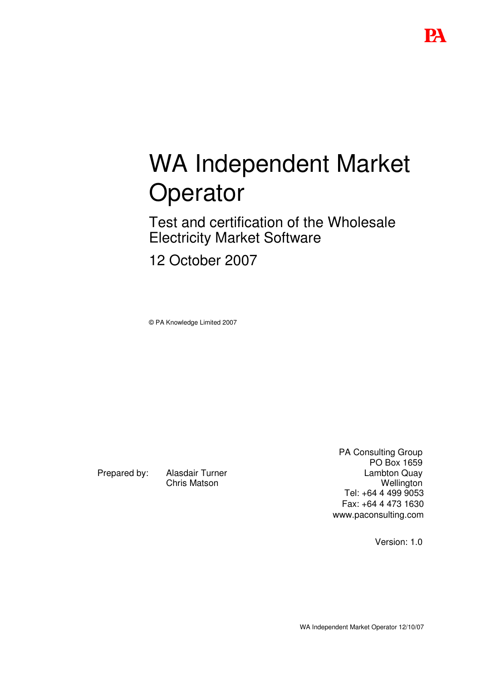# WA Independent Market **Operator**

Test and certification of the Wholesale Electricity Market Software

12 October 2007

© PA Knowledge Limited 2007

Prepared by: Alasdair Turner Chris Matson

PA Consulting Group PO Box 1659 Lambton Quay **Wellington** Tel: +64 4 499 9053 Fax: +64 4 473 1630 www.paconsulting.com

Version: 1.0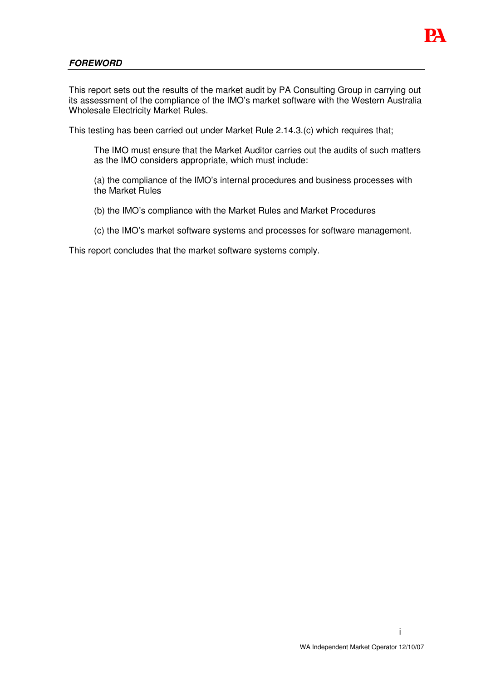

## *FOREWORD*

This report sets out the results of the market audit by PA Consulting Group in carrying out its assessment of the compliance of the IMO's market software with the Western Australia Wholesale Electricity Market Rules.

This testing has been carried out under Market Rule 2.14.3.(c) which requires that;

The IMO must ensure that the Market Auditor carries out the audits of such matters as the IMO considers appropriate, which must include:

- (a) the compliance of the IMO's internal procedures and business processes with the Market Rules
- (b) the IMO's compliance with the Market Rules and Market Procedures
- (c) the IMO's market software systems and processes for software management.

This report concludes that the market software systems comply.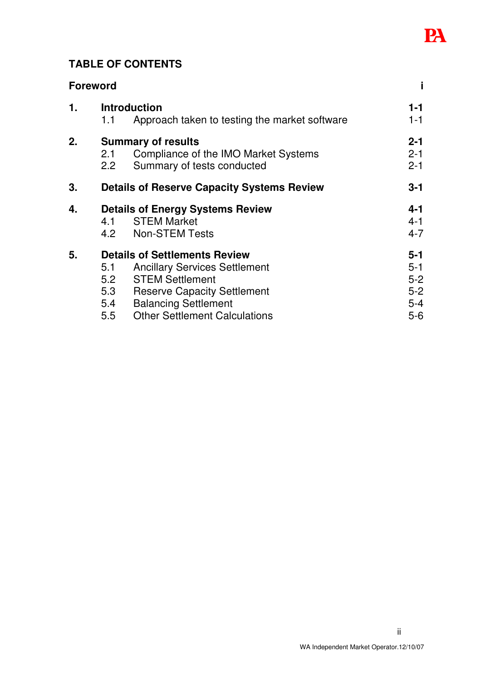

# **TABLE OF CONTENTS**

|               | <b>Foreword</b>                                                             |                                                                                                                                                                             |                                                     |
|---------------|-----------------------------------------------------------------------------|-----------------------------------------------------------------------------------------------------------------------------------------------------------------------------|-----------------------------------------------------|
| $\mathbf 1$ . | <b>Introduction</b><br>Approach taken to testing the market software<br>1.1 |                                                                                                                                                                             |                                                     |
| 2.            | 2.1<br>$2.2\phantom{0}$                                                     | <b>Summary of results</b><br>Compliance of the IMO Market Systems<br>Summary of tests conducted                                                                             | $2 - 1$<br>$2 - 1$<br>$2 - 1$                       |
| 3.            |                                                                             | <b>Details of Reserve Capacity Systems Review</b>                                                                                                                           | $3 - 1$                                             |
| 4.            | 4.1<br>4.2                                                                  | <b>Details of Energy Systems Review</b><br><b>STEM Market</b><br><b>Non-STEM Tests</b>                                                                                      | $4 - 1$<br>$4 - 1$<br>$4 - 7$                       |
| 5.            | 5.1<br>5.2<br>5.3<br>5.4                                                    | <b>Details of Settlements Review</b><br><b>Ancillary Services Settlement</b><br><b>STEM Settlement</b><br><b>Reserve Capacity Settlement</b><br><b>Balancing Settlement</b> | $5 - 1$<br>$5 - 1$<br>$5 - 2$<br>$5 - 2$<br>$5 - 4$ |

5.5 Other Settlement Calculations 5-6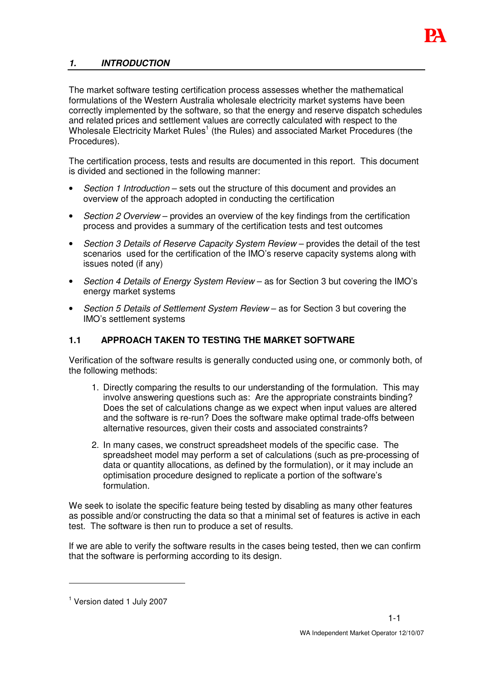

## *1. INTRODUCTION*

The market software testing certification process assesses whether the mathematical formulations of the Western Australia wholesale electricity market systems have been correctly implemented by the software, so that the energy and reserve dispatch schedules and related prices and settlement values are correctly calculated with respect to the Wholesale Electricity Market Rules<sup>1</sup> (the Rules) and associated Market Procedures (the Procedures).

The certification process, tests and results are documented in this report. This document is divided and sectioned in the following manner:

- *Section 1 Introduction* sets out the structure of this document and provides an overview of the approach adopted in conducting the certification
- *Section 2 Overview* provides an overview of the key findings from the certification process and provides a summary of the certification tests and test outcomes
- *Section 3 Details of Reserve Capacity System Review* provides the detail of the test scenarios used for the certification of the IMO's reserve capacity systems along with issues noted (if any)
- *Section 4 Details of Energy System Review* as for Section 3 but covering the IMO's energy market systems
- *Section 5 Details of Settlement System Review* as for Section 3 but covering the IMO's settlement systems

## **1.1 APPROACH TAKEN TO TESTING THE MARKET SOFTWARE**

Verification of the software results is generally conducted using one, or commonly both, of the following methods:

- 1. Directly comparing the results to our understanding of the formulation. This may involve answering questions such as: Are the appropriate constraints binding? Does the set of calculations change as we expect when input values are altered and the software is re-run? Does the software make optimal trade-offs between alternative resources, given their costs and associated constraints?
- 2. In many cases, we construct spreadsheet models of the specific case. The spreadsheet model may perform a set of calculations (such as pre-processing of data or quantity allocations, as defined by the formulation), or it may include an optimisation procedure designed to replicate a portion of the software's formulation.

We seek to isolate the specific feature being tested by disabling as many other features as possible and/or constructing the data so that a minimal set of features is active in each test. The software is then run to produce a set of results.

If we are able to verify the software results in the cases being tested, then we can confirm that the software is performing according to its design.

<sup>&</sup>lt;sup>1</sup> Version dated 1 July 2007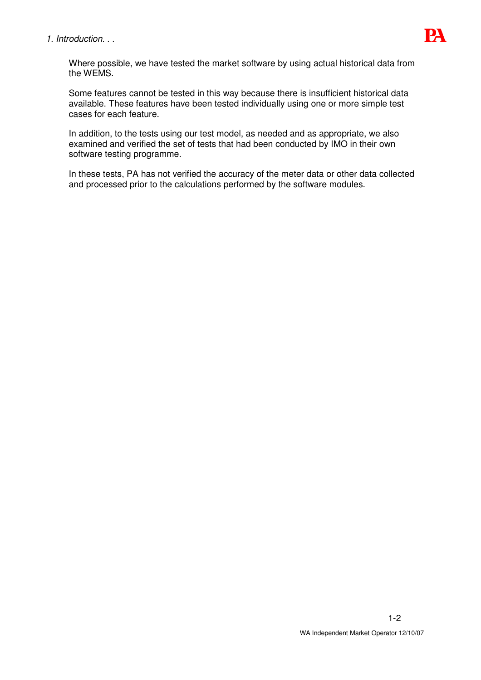

Where possible, we have tested the market software by using actual historical data from the WEMS.

Some features cannot be tested in this way because there is insufficient historical data available. These features have been tested individually using one or more simple test cases for each feature.

In addition, to the tests using our test model, as needed and as appropriate, we also examined and verified the set of tests that had been conducted by IMO in their own software testing programme.

In these tests, PA has not verified the accuracy of the meter data or other data collected and processed prior to the calculations performed by the software modules.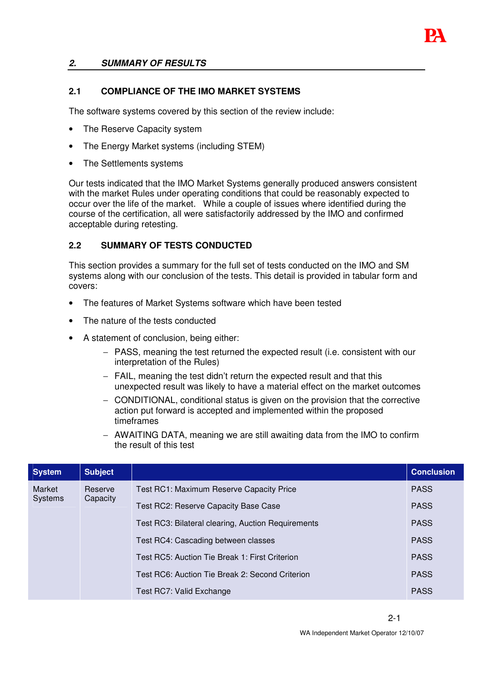

## *2. SUMMARY OF RESULTS*

## **2.1 COMPLIANCE OF THE IMO MARKET SYSTEMS**

The software systems covered by this section of the review include:

- The Reserve Capacity system
- The Energy Market systems (including STEM)
- The Settlements systems

Our tests indicated that the IMO Market Systems generally produced answers consistent with the market Rules under operating conditions that could be reasonably expected to occur over the life of the market. While a couple of issues where identified during the course of the certification, all were satisfactorily addressed by the IMO and confirmed acceptable during retesting.

## **2.2 SUMMARY OF TESTS CONDUCTED**

This section provides a summary for the full set of tests conducted on the IMO and SM systems along with our conclusion of the tests. This detail is provided in tabular form and covers:

- The features of Market Systems software which have been tested
- The nature of the tests conducted
- A statement of conclusion, being either:
	- − PASS, meaning the test returned the expected result (i.e. consistent with our interpretation of the Rules)
	- − FAIL, meaning the test didn't return the expected result and that this unexpected result was likely to have a material effect on the market outcomes
	- − CONDITIONAL, conditional status is given on the provision that the corrective action put forward is accepted and implemented within the proposed timeframes
	- − AWAITING DATA, meaning we are still awaiting data from the IMO to confirm the result of this test

| <b>System</b>            | <b>Subject</b> |                                                    | <b>Conclusion</b> |
|--------------------------|----------------|----------------------------------------------------|-------------------|
| Market<br><b>Systems</b> | Reserve        | <b>Test RC1: Maximum Reserve Capacity Price</b>    | <b>PASS</b>       |
|                          | Capacity       | Test RC2: Reserve Capacity Base Case               | <b>PASS</b>       |
|                          |                | Test RC3: Bilateral clearing, Auction Requirements | <b>PASS</b>       |
|                          |                | Test RC4: Cascading between classes                | <b>PASS</b>       |
|                          |                | Test RC5: Auction Tie Break 1: First Criterion     | <b>PASS</b>       |
|                          |                | Test RC6: Auction Tie Break 2: Second Criterion    | <b>PASS</b>       |
|                          |                | Test RC7: Valid Exchange                           | <b>PASS</b>       |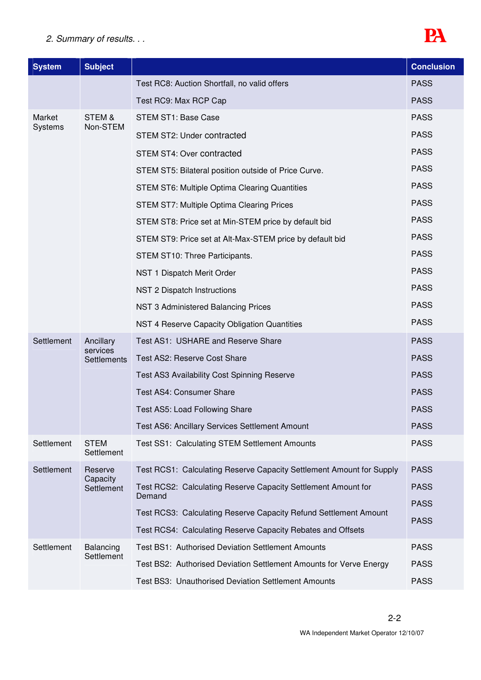# *2. Summary of results. . .*



| <b>System</b>  | <b>Subject</b>                              |                                                                                                                                | <b>Conclusion</b>          |
|----------------|---------------------------------------------|--------------------------------------------------------------------------------------------------------------------------------|----------------------------|
|                |                                             | Test RC8: Auction Shortfall, no valid offers                                                                                   | <b>PASS</b>                |
|                |                                             | Test RC9: Max RCP Cap                                                                                                          | <b>PASS</b>                |
| Market         | STEM &                                      | STEM ST1: Base Case                                                                                                            | <b>PASS</b>                |
| <b>Systems</b> | Non-STEM                                    | STEM ST2: Under contracted                                                                                                     | <b>PASS</b>                |
|                |                                             | STEM ST4: Over contracted                                                                                                      | <b>PASS</b>                |
|                |                                             | STEM ST5: Bilateral position outside of Price Curve.                                                                           | <b>PASS</b>                |
|                |                                             | <b>STEM ST6: Multiple Optima Clearing Quantities</b>                                                                           | <b>PASS</b>                |
|                |                                             | STEM ST7: Multiple Optima Clearing Prices                                                                                      | <b>PASS</b>                |
|                |                                             | STEM ST8: Price set at Min-STEM price by default bid                                                                           | <b>PASS</b>                |
|                |                                             | STEM ST9: Price set at Alt-Max-STEM price by default bid                                                                       | <b>PASS</b>                |
|                |                                             | STEM ST10: Three Participants.                                                                                                 | <b>PASS</b>                |
|                |                                             | NST 1 Dispatch Merit Order                                                                                                     | <b>PASS</b>                |
|                |                                             | NST 2 Dispatch Instructions                                                                                                    | <b>PASS</b>                |
|                |                                             | NST 3 Administered Balancing Prices                                                                                            | <b>PASS</b>                |
|                |                                             | NST 4 Reserve Capacity Obligation Quantities                                                                                   | <b>PASS</b>                |
| Settlement     | Ancillary<br>services<br><b>Settlements</b> | Test AS1: USHARE and Reserve Share                                                                                             | <b>PASS</b>                |
|                |                                             | Test AS2: Reserve Cost Share                                                                                                   | <b>PASS</b>                |
|                |                                             | Test AS3 Availability Cost Spinning Reserve                                                                                    | <b>PASS</b>                |
|                |                                             | <b>Test AS4: Consumer Share</b>                                                                                                | <b>PASS</b>                |
|                |                                             | Test AS5: Load Following Share                                                                                                 | <b>PASS</b>                |
|                |                                             | Test AS6: Ancillary Services Settlement Amount                                                                                 | <b>PASS</b>                |
| Settlement     | <b>STEM</b><br>Settlement                   | <b>Test SS1: Calculating STEM Settlement Amounts</b>                                                                           | <b>PASS</b>                |
| Settlement     | Reserve<br>Capacity<br>Settlement           | Test RCS1: Calculating Reserve Capacity Settlement Amount for Supply                                                           | <b>PASS</b>                |
|                |                                             | Test RCS2: Calculating Reserve Capacity Settlement Amount for                                                                  | <b>PASS</b>                |
|                |                                             | Demand                                                                                                                         | <b>PASS</b>                |
|                |                                             | Test RCS3: Calculating Reserve Capacity Refund Settlement Amount                                                               | <b>PASS</b>                |
|                |                                             | Test RCS4: Calculating Reserve Capacity Rebates and Offsets                                                                    |                            |
| Settlement     | Balancing<br>Settlement                     | <b>Test BS1: Authorised Deviation Settlement Amounts</b><br>Test BS2: Authorised Deviation Settlement Amounts for Verve Energy | <b>PASS</b><br><b>PASS</b> |
|                |                                             | <b>Test BS3: Unauthorised Deviation Settlement Amounts</b>                                                                     | <b>PASS</b>                |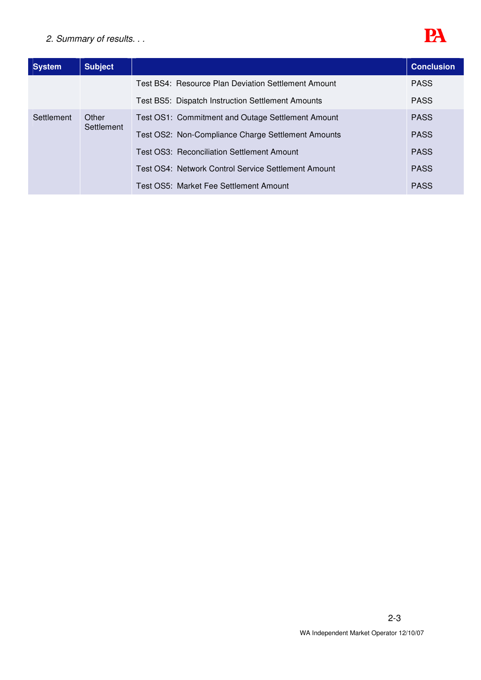# *2. Summary of results. . .*



| <b>System</b> | <b>Subject</b>      |                                                          | <b>Conclusion</b> |
|---------------|---------------------|----------------------------------------------------------|-------------------|
|               |                     | Test BS4: Resource Plan Deviation Settlement Amount      | <b>PASS</b>       |
|               |                     | <b>Test BS5: Dispatch Instruction Settlement Amounts</b> | <b>PASS</b>       |
| Settlement    | Other<br>Settlement | Test OS1: Commitment and Outage Settlement Amount        | <b>PASS</b>       |
|               |                     | Test OS2: Non-Compliance Charge Settlement Amounts       | <b>PASS</b>       |
|               |                     | Test OS3: Reconciliation Settlement Amount               | <b>PASS</b>       |
|               |                     | Test OS4: Network Control Service Settlement Amount      | <b>PASS</b>       |
|               |                     | Test OS5: Market Fee Settlement Amount                   | <b>PASS</b>       |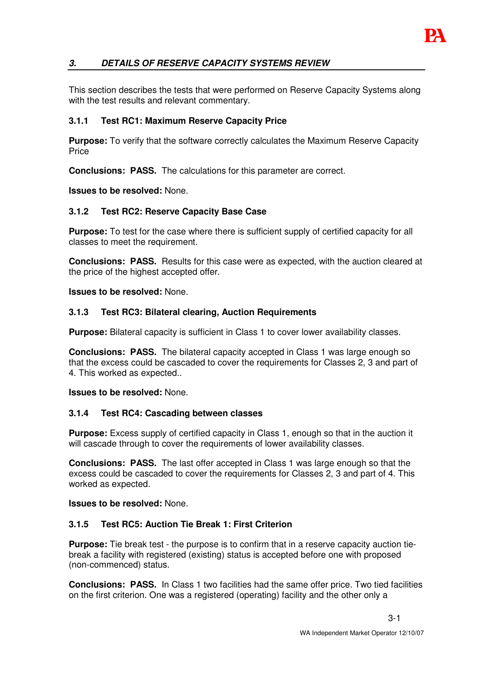

## *3. DETAILS OF RESERVE CAPACITY SYSTEMS REVIEW*

This section describes the tests that were performed on Reserve Capacity Systems along with the test results and relevant commentary.

#### **3.1.1 Test RC1: Maximum Reserve Capacity Price**

**Purpose:** To verify that the software correctly calculates the Maximum Reserve Capacity **Price** 

**Conclusions: PASS.** The calculations for this parameter are correct.

#### **Issues to be resolved:** None.

#### **3.1.2 Test RC2: Reserve Capacity Base Case**

**Purpose:** To test for the case where there is sufficient supply of certified capacity for all classes to meet the requirement.

**Conclusions: PASS.** Results for this case were as expected, with the auction cleared at the price of the highest accepted offer.

**Issues to be resolved:** None.

#### **3.1.3 Test RC3: Bilateral clearing, Auction Requirements**

**Purpose:** Bilateral capacity is sufficient in Class 1 to cover lower availability classes.

**Conclusions: PASS.** The bilateral capacity accepted in Class 1 was large enough so that the excess could be cascaded to cover the requirements for Classes 2, 3 and part of 4. This worked as expected..

**Issues to be resolved:** None.

#### **3.1.4 Test RC4: Cascading between classes**

**Purpose:** Excess supply of certified capacity in Class 1, enough so that in the auction it will cascade through to cover the requirements of lower availability classes.

**Conclusions: PASS.** The last offer accepted in Class 1 was large enough so that the excess could be cascaded to cover the requirements for Classes 2, 3 and part of 4. This worked as expected.

**Issues to be resolved:** None.

## **3.1.5 Test RC5: Auction Tie Break 1: First Criterion**

**Purpose:** Tie break test - the purpose is to confirm that in a reserve capacity auction tiebreak a facility with registered (existing) status is accepted before one with proposed (non-commenced) status.

**Conclusions: PASS.** In Class 1 two facilities had the same offer price. Two tied facilities on the first criterion. One was a registered (operating) facility and the other only a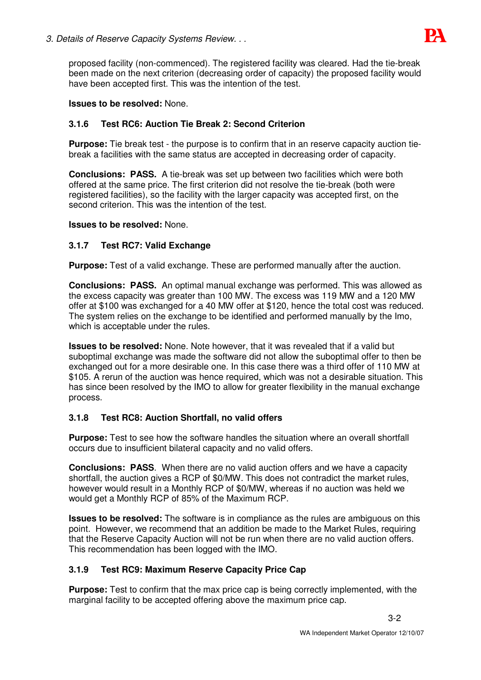

proposed facility (non-commenced). The registered facility was cleared. Had the tie-break been made on the next criterion (decreasing order of capacity) the proposed facility would have been accepted first. This was the intention of the test.

## **Issues to be resolved:** None.

## **3.1.6 Test RC6: Auction Tie Break 2: Second Criterion**

**Purpose:** Tie break test - the purpose is to confirm that in an reserve capacity auction tiebreak a facilities with the same status are accepted in decreasing order of capacity.

**Conclusions: PASS.** A tie-break was set up between two facilities which were both offered at the same price. The first criterion did not resolve the tie-break (both were registered facilities), so the facility with the larger capacity was accepted first, on the second criterion. This was the intention of the test.

## **Issues to be resolved:** None.

## **3.1.7 Test RC7: Valid Exchange**

**Purpose:** Test of a valid exchange. These are performed manually after the auction.

**Conclusions: PASS.** An optimal manual exchange was performed. This was allowed as the excess capacity was greater than 100 MW. The excess was 119 MW and a 120 MW offer at \$100 was exchanged for a 40 MW offer at \$120, hence the total cost was reduced. The system relies on the exchange to be identified and performed manually by the Imo, which is acceptable under the rules.

**Issues to be resolved:** None. Note however, that it was revealed that if a valid but suboptimal exchange was made the software did not allow the suboptimal offer to then be exchanged out for a more desirable one. In this case there was a third offer of 110 MW at \$105. A rerun of the auction was hence required, which was not a desirable situation. This has since been resolved by the IMO to allow for greater flexibility in the manual exchange process.

# **3.1.8 Test RC8: Auction Shortfall, no valid offers**

**Purpose:** Test to see how the software handles the situation where an overall shortfall occurs due to insufficient bilateral capacity and no valid offers.

**Conclusions: PASS**. When there are no valid auction offers and we have a capacity shortfall, the auction gives a RCP of \$0/MW. This does not contradict the market rules, however would result in a Monthly RCP of \$0/MW, whereas if no auction was held we would get a Monthly RCP of 85% of the Maximum RCP.

**Issues to be resolved:** The software is in compliance as the rules are ambiguous on this point. However, we recommend that an addition be made to the Market Rules, requiring that the Reserve Capacity Auction will not be run when there are no valid auction offers. This recommendation has been logged with the IMO.

# **3.1.9 Test RC9: Maximum Reserve Capacity Price Cap**

**Purpose:** Test to confirm that the max price cap is being correctly implemented, with the marginal facility to be accepted offering above the maximum price cap.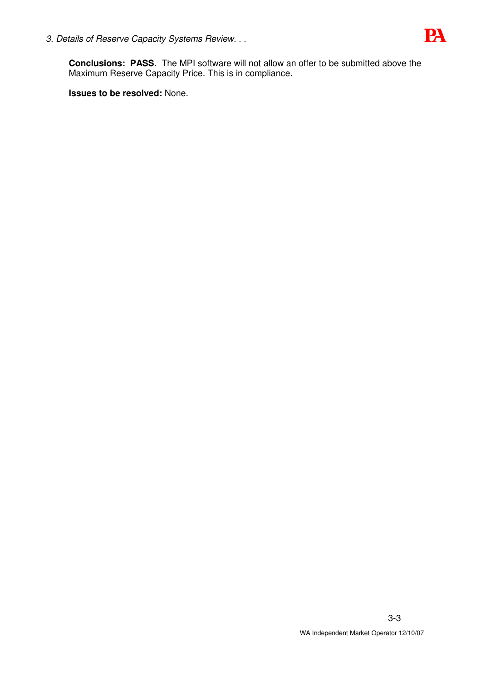*3. Details of Reserve Capacity Systems Review. . .*



**Conclusions: PASS**. The MPI software will not allow an offer to be submitted above the Maximum Reserve Capacity Price. This is in compliance.

**Issues to be resolved:** None.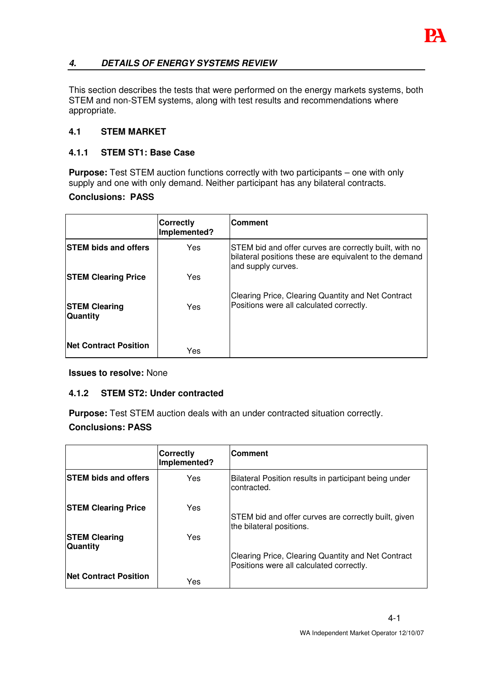

# *4. DETAILS OF ENERGY SYSTEMS REVIEW*

This section describes the tests that were performed on the energy markets systems, both STEM and non-STEM systems, along with test results and recommendations where appropriate.

## **4.1 STEM MARKET**

## **4.1.1 STEM ST1: Base Case**

**Purpose:** Test STEM auction functions correctly with two participants – one with only supply and one with only demand. Neither participant has any bilateral contracts.

## **Conclusions: PASS**

|                                         | <b>Correctly</b><br>Implemented? | <b>Comment</b>                                                                                                                         |
|-----------------------------------------|----------------------------------|----------------------------------------------------------------------------------------------------------------------------------------|
| <b>STEM bids and offers</b>             | Yes                              | STEM bid and offer curves are correctly built, with no<br>bilateral positions these are equivalent to the demand<br>and supply curves. |
| <b>STEM Clearing Price</b>              | Yes                              |                                                                                                                                        |
| <b>STEM Clearing</b><br><b>Quantity</b> | Yes                              | Clearing Price, Clearing Quantity and Net Contract<br>Positions were all calculated correctly.                                         |
| <b>Net Contract Position</b>            | Yes                              |                                                                                                                                        |

**Issues to resolve:** None

# **4.1.2 STEM ST2: Under contracted**

**Purpose:** Test STEM auction deals with an under contracted situation correctly. **Conclusions: PASS**

|                                         | <b>Correctly</b><br>Implemented? | <b>Comment</b>                                                                                 |
|-----------------------------------------|----------------------------------|------------------------------------------------------------------------------------------------|
| <b>STEM bids and offers</b>             | Yes.                             | Bilateral Position results in participant being under<br>contracted.                           |
| <b>STEM Clearing Price</b>              | Yes                              | STEM bid and offer curves are correctly built, given<br>the bilateral positions.               |
| <b>STEM Clearing</b><br><b>Quantity</b> | Yes                              |                                                                                                |
|                                         |                                  | Clearing Price, Clearing Quantity and Net Contract<br>Positions were all calculated correctly. |
| <b>Net Contract Position</b>            | Yes                              |                                                                                                |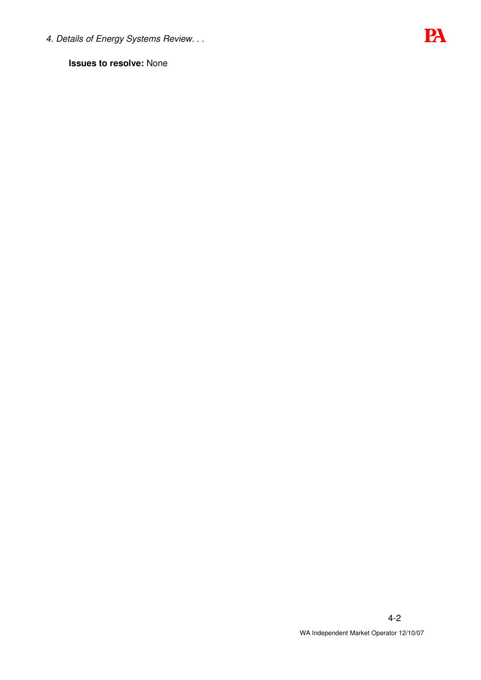*4. Details of Energy Systems Review. . .*

**Issues to resolve:** None

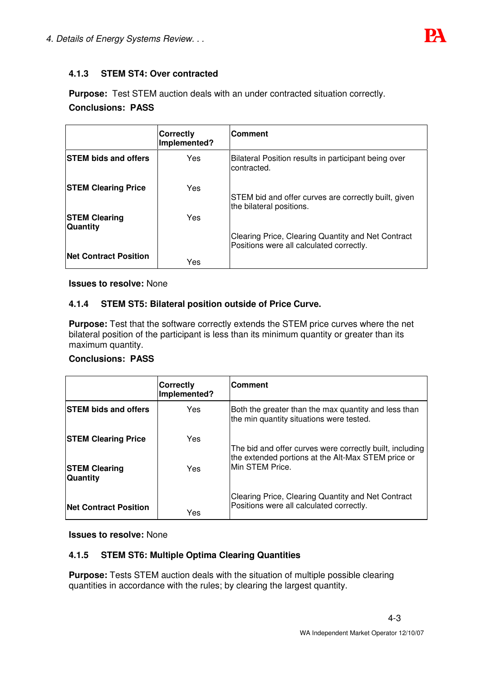

# **4.1.3 STEM ST4: Over contracted**

**Purpose:** Test STEM auction deals with an under contracted situation correctly. **Conclusions: PASS**

|                                   | <b>Correctly</b><br>Implemented? | <b>Comment</b>                                                                                 |
|-----------------------------------|----------------------------------|------------------------------------------------------------------------------------------------|
| <b>STEM bids and offers</b>       | Yes.                             | Bilateral Position results in participant being over<br>contracted.                            |
| <b>STEM Clearing Price</b>        | Yes                              | STEM bid and offer curves are correctly built, given<br>the bilateral positions.               |
| <b>STEM Clearing</b><br> Quantity | <b>Yes</b>                       |                                                                                                |
|                                   |                                  | Clearing Price, Clearing Quantity and Net Contract<br>Positions were all calculated correctly. |
| <b>Net Contract Position</b>      | Yes                              |                                                                                                |

**Issues to resolve:** None

## **4.1.4 STEM ST5: Bilateral position outside of Price Curve.**

**Purpose:** Test that the software correctly extends the STEM price curves where the net bilateral position of the participant is less than its minimum quantity or greater than its maximum quantity.

## **Conclusions: PASS**

|                                         | <b>Correctly</b><br>Implemented? | <b>Comment</b>                                                                                                 |
|-----------------------------------------|----------------------------------|----------------------------------------------------------------------------------------------------------------|
| <b>ISTEM bids and offers</b>            | <b>Yes</b>                       | Both the greater than the max quantity and less than<br>the min quantity situations were tested.               |
| <b>STEM Clearing Price</b>              | Yes                              | The bid and offer curves were correctly built, including<br>the extended portions at the Alt-Max STEM price or |
| <b>STEM Clearing</b><br><b>Quantity</b> | Yes                              | Min STEM Price.                                                                                                |
| <b>Net Contract Position</b>            | Yes                              | Clearing Price, Clearing Quantity and Net Contract<br>Positions were all calculated correctly.                 |

**Issues to resolve:** None

## **4.1.5 STEM ST6: Multiple Optima Clearing Quantities**

**Purpose:** Tests STEM auction deals with the situation of multiple possible clearing quantities in accordance with the rules; by clearing the largest quantity.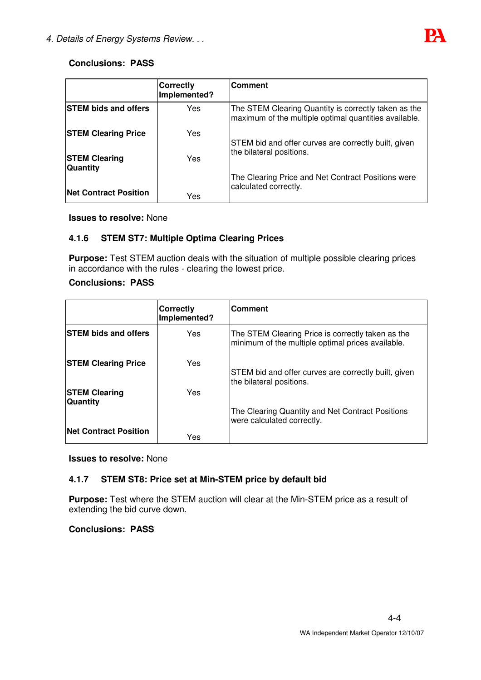

# **Conclusions: PASS**

|                                   | <b>Correctly</b><br>Implemented? | <b>Comment</b>                                                                                                |
|-----------------------------------|----------------------------------|---------------------------------------------------------------------------------------------------------------|
| <b>STEM bids and offers</b>       | <b>Yes</b>                       | The STEM Clearing Quantity is correctly taken as the<br>maximum of the multiple optimal quantities available. |
| <b>STEM Clearing Price</b>        | Yes                              | STEM bid and offer curves are correctly built, given                                                          |
| <b>STEM Clearing</b><br> Quantity | Yes                              | the bilateral positions.                                                                                      |
| <b>Net Contract Position</b>      | Yes                              | The Clearing Price and Net Contract Positions were<br>calculated correctly.                                   |

#### **Issues to resolve:** None

## **4.1.6 STEM ST7: Multiple Optima Clearing Prices**

**Purpose:** Test STEM auction deals with the situation of multiple possible clearing prices in accordance with the rules - clearing the lowest price.

# **Conclusions: PASS**

|                                  | <b>Correctly</b><br>Implemented? | <b>Comment</b>                                                                                         |
|----------------------------------|----------------------------------|--------------------------------------------------------------------------------------------------------|
| <b>STEM bids and offers</b>      | Yes                              | The STEM Clearing Price is correctly taken as the<br>minimum of the multiple optimal prices available. |
| <b>STEM Clearing Price</b>       | Yes                              | STEM bid and offer curves are correctly built, given<br>the bilateral positions.                       |
| <b>STEM Clearing</b><br>Quantity | Yes                              |                                                                                                        |
|                                  |                                  | The Clearing Quantity and Net Contract Positions<br>were calculated correctly.                         |
| <b>Net Contract Position</b>     | Yes                              |                                                                                                        |

**Issues to resolve:** None

## **4.1.7 STEM ST8: Price set at Min-STEM price by default bid**

**Purpose:** Test where the STEM auction will clear at the Min-STEM price as a result of extending the bid curve down.

## **Conclusions: PASS**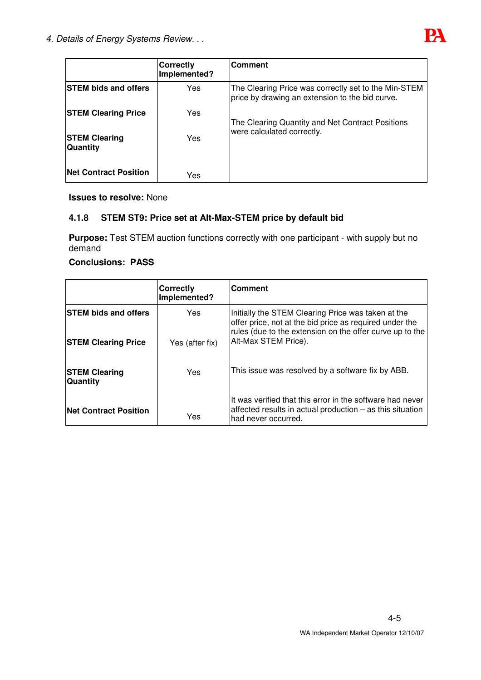

|                                   | <b>Correctly</b><br>Implemented? | <b>Comment</b>                                                                                          |
|-----------------------------------|----------------------------------|---------------------------------------------------------------------------------------------------------|
| <b>ISTEM bids and offers</b>      | Yes                              | The Clearing Price was correctly set to the Min-STEM<br>price by drawing an extension to the bid curve. |
| <b>STEM Clearing Price</b>        | Yes                              | The Clearing Quantity and Net Contract Positions                                                        |
| <b>STEM Clearing</b><br> Quantity | Yes                              | were calculated correctly.                                                                              |
| <b>Net Contract Position</b>      | Yes                              |                                                                                                         |

**Issues to resolve:** None

# **4.1.8 STEM ST9: Price set at Alt-Max-STEM price by default bid**

**Purpose:** Test STEM auction functions correctly with one participant - with supply but no demand

# **Conclusions: PASS**

|                                  | Correctly<br>Implemented? | <b>IComment</b>                                                                                                                                                           |
|----------------------------------|---------------------------|---------------------------------------------------------------------------------------------------------------------------------------------------------------------------|
| <b>STEM bids and offers</b>      | Yes                       | Initially the STEM Clearing Price was taken at the<br>offer price, not at the bid price as required under the<br>rules (due to the extension on the offer curve up to the |
| <b>STEM Clearing Price</b>       | Yes (after fix)           | Alt-Max STEM Price).                                                                                                                                                      |
| <b>STEM Clearing</b><br>Quantity | Yes                       | This issue was resolved by a software fix by ABB.                                                                                                                         |
| <b>Net Contract Position</b>     | Yes                       | It was verified that this error in the software had never<br>affected results in actual production – as this situation<br>had never occurred.                             |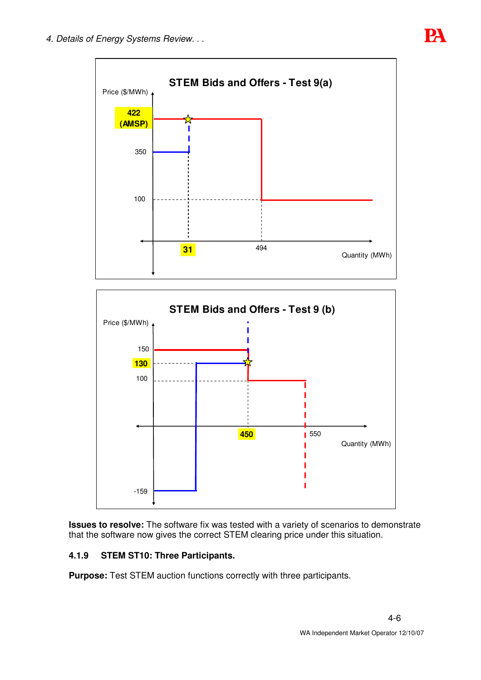





**Issues to resolve:** The software fix was tested with a variety of scenarios to demonstrate that the software now gives the correct STEM clearing price under this situation.

# **4.1.9 STEM ST10: Three Participants.**

**Purpose:** Test STEM auction functions correctly with three participants.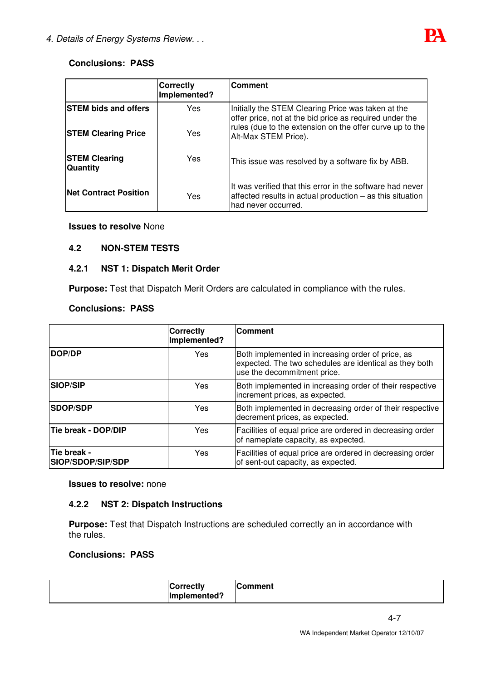

# **Conclusions: PASS**

|                                         | <b>Correctly</b><br>Implemented? | <b>Comment</b>                                                                                                                                |
|-----------------------------------------|----------------------------------|-----------------------------------------------------------------------------------------------------------------------------------------------|
| <b>STEM bids and offers</b>             | Yes                              | Initially the STEM Clearing Price was taken at the<br>offer price, not at the bid price as required under the                                 |
| <b>STEM Clearing Price</b>              | Yes                              | rules (due to the extension on the offer curve up to the<br>Alt-Max STEM Price).                                                              |
| <b>STEM Clearing</b><br><b>Quantity</b> | Yes                              | This issue was resolved by a software fix by ABB.                                                                                             |
| <b>Net Contract Position</b>            | Yes                              | It was verified that this error in the software had never<br>affected results in actual production - as this situation<br>had never occurred. |

**Issues to resolve** None

## **4.2 NON-STEM TESTS**

## **4.2.1 NST 1: Dispatch Merit Order**

**Purpose:** Test that Dispatch Merit Orders are calculated in compliance with the rules.

#### **Conclusions: PASS**

|                                  | <b>Correctly</b><br>Implemented? | <b>Comment</b>                                                                                                                             |
|----------------------------------|----------------------------------|--------------------------------------------------------------------------------------------------------------------------------------------|
| DOP/DP                           | <b>Yes</b>                       | Both implemented in increasing order of price, as<br>expected. The two schedules are identical as they both<br>use the decommitment price. |
| <b>SIOP/SIP</b>                  | Yes                              | Both implemented in increasing order of their respective<br>increment prices, as expected.                                                 |
| <b>ISDOP/SDP</b>                 | Yes                              | Both implemented in decreasing order of their respective<br>decrement prices, as expected.                                                 |
| Tie break - DOP/DIP              | Yes                              | Facilities of equal price are ordered in decreasing order<br>of nameplate capacity, as expected.                                           |
| Tie break -<br>SIOP/SDOP/SIP/SDP | Yes                              | Facilities of equal price are ordered in decreasing order<br>of sent-out capacity, as expected.                                            |

#### **Issues to resolve:** none

## **4.2.2 NST 2: Dispatch Instructions**

**Purpose:** Test that Dispatch Instructions are scheduled correctly an in accordance with the rules.

# **Conclusions: PASS**

| <b>Correctly</b><br>Implemented? | <b>Comment</b> |
|----------------------------------|----------------|
|                                  |                |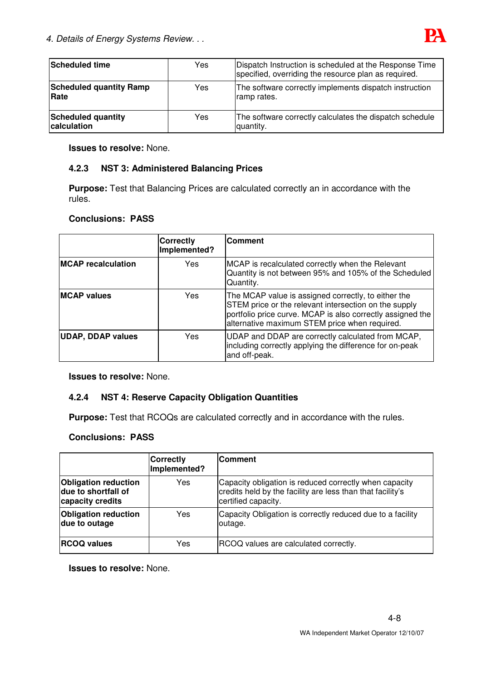

| Scheduled time                           | Yes. | Dispatch Instruction is scheduled at the Response Time<br>specified, overriding the resource plan as required. |
|------------------------------------------|------|----------------------------------------------------------------------------------------------------------------|
| <b>Scheduled quantity Ramp</b><br>Rate   | Yes  | The software correctly implements dispatch instruction<br>ramp rates.                                          |
| <b>Scheduled quantity</b><br>calculation | Yes  | The software correctly calculates the dispatch schedule<br>quantity.                                           |

**Issues to resolve:** None.

## **4.2.3 NST 3: Administered Balancing Prices**

**Purpose:** Test that Balancing Prices are calculated correctly an in accordance with the rules.

## **Conclusions: PASS**

|                           | <b>Correctly</b><br>Implemented? | <b>Comment</b>                                                                                                                                                                                                              |
|---------------------------|----------------------------------|-----------------------------------------------------------------------------------------------------------------------------------------------------------------------------------------------------------------------------|
| <b>MCAP</b> recalculation | Yes                              | MCAP is recalculated correctly when the Relevant<br>Quantity is not between 95% and 105% of the Scheduled<br>Quantity.                                                                                                      |
| <b>MCAP</b> values        | Yes                              | The MCAP value is assigned correctly, to either the<br>STEM price or the relevant intersection on the supply<br>portfolio price curve. MCAP is also correctly assigned the<br>alternative maximum STEM price when required. |
| <b>UDAP, DDAP values</b>  | Yes                              | UDAP and DDAP are correctly calculated from MCAP,<br>including correctly applying the difference for on-peak<br>and off-peak.                                                                                               |

**Issues to resolve:** None.

## **4.2.4 NST 4: Reserve Capacity Obligation Quantities**

**Purpose:** Test that RCOQs are calculated correctly and in accordance with the rules.

## **Conclusions: PASS**

|                                                                        | <b>Correctly</b><br>Implemented? | <b>Comment</b>                                                                                                                              |
|------------------------------------------------------------------------|----------------------------------|---------------------------------------------------------------------------------------------------------------------------------------------|
| <b>Obligation reduction</b><br>due to shortfall of<br>capacity credits | Yes                              | Capacity obligation is reduced correctly when capacity<br>credits held by the facility are less than that facility's<br>certified capacity. |
| <b>Obligation reduction</b><br>due to outage                           | Yes                              | Capacity Obligation is correctly reduced due to a facility<br>outage.                                                                       |
| <b>RCOQ values</b>                                                     | Yes                              | RCOQ values are calculated correctly.                                                                                                       |

**Issues to resolve:** None.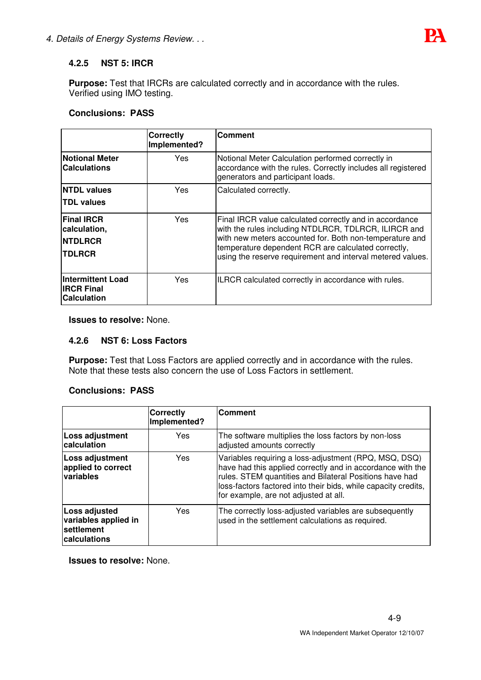

# **4.2.5 NST 5: IRCR**

**Purpose:** Test that IRCRs are calculated correctly and in accordance with the rules. Verified using IMO testing.

# **Conclusions: PASS**

|                                                                       | <b>Correctly</b><br>Implemented? | <b>Comment</b>                                                                                                                                                                                                                                                                                  |
|-----------------------------------------------------------------------|----------------------------------|-------------------------------------------------------------------------------------------------------------------------------------------------------------------------------------------------------------------------------------------------------------------------------------------------|
| <b>Notional Meter</b><br><b>Calculations</b>                          | <b>Yes</b>                       | Notional Meter Calculation performed correctly in<br>accordance with the rules. Correctly includes all registered<br>generators and participant loads.                                                                                                                                          |
| <b>NTDL values</b><br><b>TDL values</b>                               | Yes                              | Calculated correctly.                                                                                                                                                                                                                                                                           |
| <b>Final IRCR</b><br>calculation,<br><b>INTDLRCR</b><br><b>TDLRCR</b> | Yes                              | Final IRCR value calculated correctly and in accordance<br>with the rules including NTDLRCR, TDLRCR, ILIRCR and<br>with new meters accounted for. Both non-temperature and<br>temperature dependent RCR are calculated correctly,<br>using the reserve requirement and interval metered values. |
| <b>Intermittent Load</b><br><b>IRCR Final</b><br><b>Calculation</b>   | Yes                              | ILRCR calculated correctly in accordance with rules.                                                                                                                                                                                                                                            |

**Issues to resolve:** None.

## **4.2.6 NST 6: Loss Factors**

**Purpose:** Test that Loss Factors are applied correctly and in accordance with the rules. Note that these tests also concern the use of Loss Factors in settlement.

## **Conclusions: PASS**

|                                                                     | <b>Correctly</b><br>Implemented? | <b>Comment</b>                                                                                                                                                                                                                                                                            |
|---------------------------------------------------------------------|----------------------------------|-------------------------------------------------------------------------------------------------------------------------------------------------------------------------------------------------------------------------------------------------------------------------------------------|
| Loss adjustment<br>calculation                                      | Yes                              | The software multiplies the loss factors by non-loss<br>adjusted amounts correctly                                                                                                                                                                                                        |
| Loss adjustment<br>applied to correct<br>variables                  | Yes                              | Variables requiring a loss-adjustment (RPQ, MSQ, DSQ)<br>have had this applied correctly and in accordance with the<br>rules. STEM quantities and Bilateral Positions have had<br>loss-factors factored into their bids, while capacity credits,<br>for example, are not adjusted at all. |
| Loss adjusted<br>variables applied in<br>settlement<br>calculations | Yes                              | The correctly loss-adjusted variables are subsequently<br>used in the settlement calculations as required.                                                                                                                                                                                |

**Issues to resolve:** None.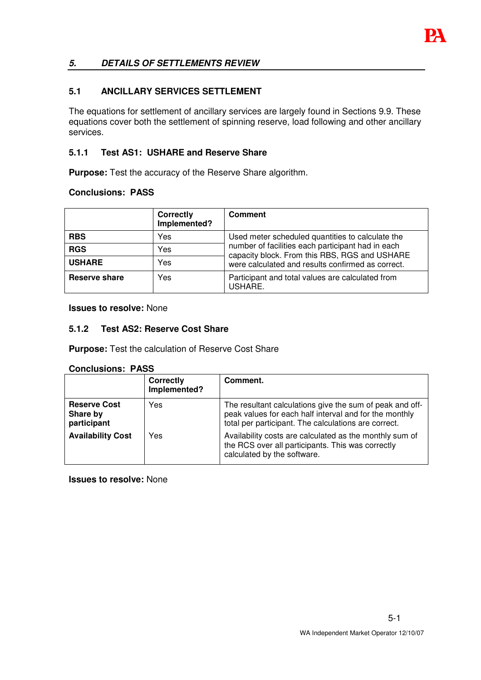

# *5. DETAILS OF SETTLEMENTS REVIEW*

## **5.1 ANCILLARY SERVICES SETTLEMENT**

The equations for settlement of ancillary services are largely found in Sections 9.9. These equations cover both the settlement of spinning reserve, load following and other ancillary services.

## **5.1.1 Test AS1: USHARE and Reserve Share**

**Purpose:** Test the accuracy of the Reserve Share algorithm.

## **Conclusions: PASS**

|               | <b>Correctly</b><br>Implemented? | <b>Comment</b>                                                                                     |
|---------------|----------------------------------|----------------------------------------------------------------------------------------------------|
| <b>RBS</b>    | Yes                              | Used meter scheduled quantities to calculate the                                                   |
| <b>RGS</b>    | Yes                              | number of facilities each participant had in each<br>capacity block. From this RBS, RGS and USHARE |
| <b>USHARE</b> | Yes                              | were calculated and results confirmed as correct.                                                  |
| Reserve share | Yes                              | Participant and total values are calculated from<br>USHARE.                                        |

**Issues to resolve:** None

## **5.1.2 Test AS2: Reserve Cost Share**

**Purpose:** Test the calculation of Reserve Cost Share

#### **Conclusions: PASS**

|                                                | <b>Correctly</b><br>Implemented? | Comment.                                                                                                                                                                   |
|------------------------------------------------|----------------------------------|----------------------------------------------------------------------------------------------------------------------------------------------------------------------------|
| <b>Reserve Cost</b><br>Share by<br>participant | Yes                              | The resultant calculations give the sum of peak and off-<br>peak values for each half interval and for the monthly<br>total per participant. The calculations are correct. |
| <b>Availability Cost</b>                       | Yes                              | Availability costs are calculated as the monthly sum of<br>the RCS over all participants. This was correctly<br>calculated by the software.                                |

**Issues to resolve:** None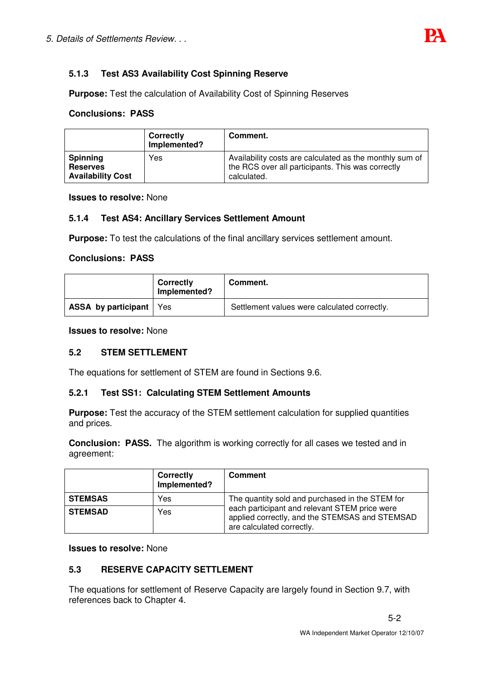# **5.1.3 Test AS3 Availability Cost Spinning Reserve**

**Purpose:** Test the calculation of Availability Cost of Spinning Reserves

## **Conclusions: PASS**

|                                                                | <b>Correctly</b><br>Implemented? | Comment.                                                                                                                    |
|----------------------------------------------------------------|----------------------------------|-----------------------------------------------------------------------------------------------------------------------------|
| <b>Spinning</b><br><b>Reserves</b><br><b>Availability Cost</b> | Yes                              | Availability costs are calculated as the monthly sum of<br>the RCS over all participants. This was correctly<br>calculated. |

**Issues to resolve:** None

## **5.1.4 Test AS4: Ancillary Services Settlement Amount**

**Purpose:** To test the calculations of the final ancillary services settlement amount.

#### **Conclusions: PASS**

|                                  | <b>Correctly</b><br>Implemented? | Comment.                                     |
|----------------------------------|----------------------------------|----------------------------------------------|
| <b>ASSA by participant</b>   Yes |                                  | Settlement values were calculated correctly. |

**Issues to resolve:** None

## **5.2 STEM SETTLEMENT**

The equations for settlement of STEM are found in Sections 9.6.

## **5.2.1 Test SS1: Calculating STEM Settlement Amounts**

**Purpose:** Test the accuracy of the STEM settlement calculation for supplied quantities and prices.

**Conclusion: PASS.** The algorithm is working correctly for all cases we tested and in agreement:

|                | <b>Correctly</b><br>Implemented? | <b>Comment</b>                                                                                                               |
|----------------|----------------------------------|------------------------------------------------------------------------------------------------------------------------------|
| <b>STEMSAS</b> | Yes                              | The quantity sold and purchased in the STEM for                                                                              |
| <b>STEMSAD</b> | Yes                              | each participant and relevant STEM price were<br>applied correctly, and the STEMSAS and STEMSAD<br>are calculated correctly. |

#### **Issues to resolve:** None

# **5.3 RESERVE CAPACITY SETTLEMENT**

The equations for settlement of Reserve Capacity are largely found in Section 9.7, with references back to Chapter 4.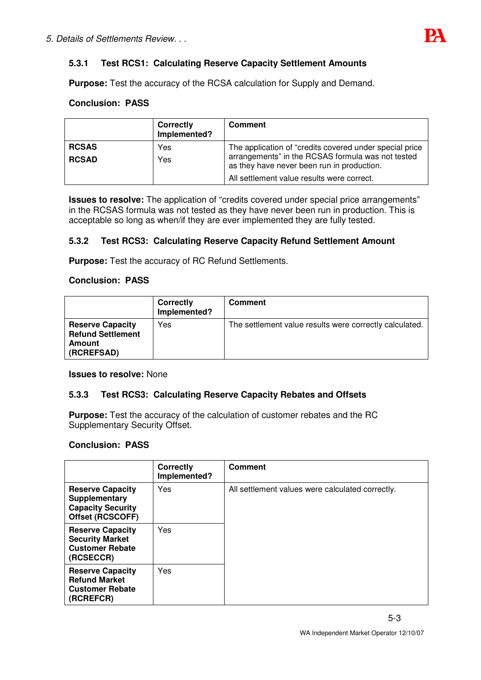## **5.3.1 Test RCS1: Calculating Reserve Capacity Settlement Amounts**

**Purpose:** Test the accuracy of the RCSA calculation for Supply and Demand.

## **Conclusion: PASS**

|                              | <b>Correctly</b><br>Implemented? | <b>Comment</b>                                                                                                                                                                                           |
|------------------------------|----------------------------------|----------------------------------------------------------------------------------------------------------------------------------------------------------------------------------------------------------|
| <b>RCSAS</b><br><b>RCSAD</b> | Yes<br>Yes                       | The application of "credits covered under special price<br>arrangements" in the RCSAS formula was not tested<br>as they have never been run in production.<br>All settlement value results were correct. |

**Issues to resolve:** The application of "credits covered under special price arrangements" in the RCSAS formula was not tested as they have never been run in production. This is acceptable so long as when/if they are ever implemented they are fully tested.

#### **5.3.2 Test RCS3: Calculating Reserve Capacity Refund Settlement Amount**

**Purpose:** Test the accuracy of RC Refund Settlements.

## **Conclusion: PASS**

|                                                                             | Correctly<br>Implemented? | <b>Comment</b>                                          |
|-----------------------------------------------------------------------------|---------------------------|---------------------------------------------------------|
| <b>Reserve Capacity</b><br><b>Refund Settlement</b><br>Amount<br>(RCREFSAD) | Yes                       | The settlement value results were correctly calculated. |

#### **Issues to resolve:** None

#### **5.3.3 Test RCS3: Calculating Reserve Capacity Rebates and Offsets**

**Purpose:** Test the accuracy of the calculation of customer rebates and the RC Supplementary Security Offset.

#### **Conclusion: PASS**

|                                                                                          | Correctly<br>Implemented? | <b>Comment</b>                                   |
|------------------------------------------------------------------------------------------|---------------------------|--------------------------------------------------|
| <b>Reserve Capacity</b><br>Supplementary<br><b>Capacity Security</b><br>Offset (RCSCOFF) | Yes                       | All settlement values were calculated correctly. |
| <b>Reserve Capacity</b><br><b>Security Market</b><br><b>Customer Rebate</b><br>(RCSECCR) | Yes                       |                                                  |
| <b>Reserve Capacity</b><br><b>Refund Market</b><br><b>Customer Rebate</b><br>(RCREFCR)   | Yes                       |                                                  |

5-3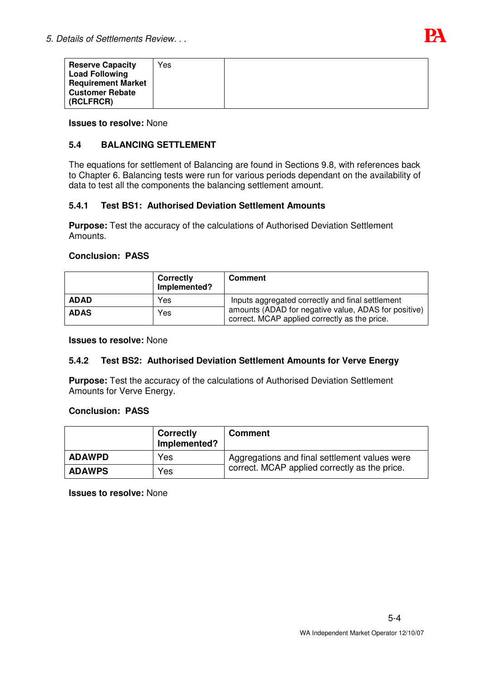

| <b>Reserve Capacity</b>   | Yes |  |
|---------------------------|-----|--|
| <b>Load Following</b>     |     |  |
| <b>Requirement Market</b> |     |  |
| <b>Customer Rebate</b>    |     |  |
| (RCLFRCR)                 |     |  |

**Issues to resolve:** None

## **5.4 BALANCING SETTLEMENT**

The equations for settlement of Balancing are found in Sections 9.8, with references back to Chapter 6. Balancing tests were run for various periods dependant on the availability of data to test all the components the balancing settlement amount.

## **5.4.1 Test BS1: Authorised Deviation Settlement Amounts**

**Purpose:** Test the accuracy of the calculations of Authorised Deviation Settlement Amounts.

#### **Conclusion: PASS**

|             | Correctly<br>Implemented? | <b>Comment</b>                                                                                        |
|-------------|---------------------------|-------------------------------------------------------------------------------------------------------|
| <b>ADAD</b> | Yes                       | Inputs aggregated correctly and final settlement                                                      |
| <b>ADAS</b> | Yes                       | amounts (ADAD for negative value, ADAS for positive)<br>correct. MCAP applied correctly as the price. |

#### **Issues to resolve:** None

## **5.4.2 Test BS2: Authorised Deviation Settlement Amounts for Verve Energy**

**Purpose:** Test the accuracy of the calculations of Authorised Deviation Settlement Amounts for Verve Energy.

#### **Conclusion: PASS**

|               | <b>Correctly</b><br>Implemented? | <b>Comment</b>                                |
|---------------|----------------------------------|-----------------------------------------------|
| <b>ADAWPD</b> | Yes                              | Aggregations and final settlement values were |
| <b>ADAWPS</b> | Yes                              | correct. MCAP applied correctly as the price. |

**Issues to resolve:** None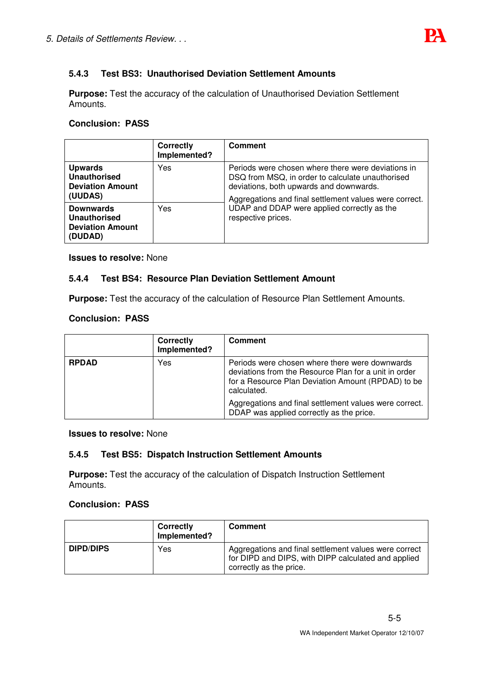# **5.4.3 Test BS3: Unauthorised Deviation Settlement Amounts**

**Purpose:** Test the accuracy of the calculation of Unauthorised Deviation Settlement Amounts.

## **Conclusion: PASS**

|                                                                             | <b>Correctly</b><br>Implemented? | <b>Comment</b>                                                                                                                                                                                              |
|-----------------------------------------------------------------------------|----------------------------------|-------------------------------------------------------------------------------------------------------------------------------------------------------------------------------------------------------------|
| <b>Upwards</b><br><b>Unauthorised</b><br><b>Deviation Amount</b><br>(UUDAS) | Yes                              | Periods were chosen where there were deviations in<br>DSQ from MSQ, in order to calculate unauthorised<br>deviations, both upwards and downwards.<br>Aggregations and final settlement values were correct. |
| <b>Downwards</b><br>Unauthorised<br><b>Deviation Amount</b><br>(DUDAD)      | Yes                              | UDAP and DDAP were applied correctly as the<br>respective prices.                                                                                                                                           |

**Issues to resolve:** None

## **5.4.4 Test BS4: Resource Plan Deviation Settlement Amount**

**Purpose:** Test the accuracy of the calculation of Resource Plan Settlement Amounts.

## **Conclusion: PASS**

|                     | <b>Correctly</b><br>Implemented? | <b>Comment</b>                                                                                                                                                               |
|---------------------|----------------------------------|------------------------------------------------------------------------------------------------------------------------------------------------------------------------------|
| <b>RPDAD</b><br>Yes |                                  | Periods were chosen where there were downwards<br>deviations from the Resource Plan for a unit in order<br>for a Resource Plan Deviation Amount (RPDAD) to be<br>calculated. |
|                     |                                  | Aggregations and final settlement values were correct.<br>DDAP was applied correctly as the price.                                                                           |

#### **Issues to resolve:** None

## **5.4.5 Test BS5: Dispatch Instruction Settlement Amounts**

**Purpose:** Test the accuracy of the calculation of Dispatch Instruction Settlement Amounts.

#### **Conclusion: PASS**

|                  | <b>Correctly</b><br>Implemented? | Comment                                                                                                                                 |
|------------------|----------------------------------|-----------------------------------------------------------------------------------------------------------------------------------------|
| <b>DIPD/DIPS</b> | Yes                              | Aggregations and final settlement values were correct<br>for DIPD and DIPS, with DIPP calculated and applied<br>correctly as the price. |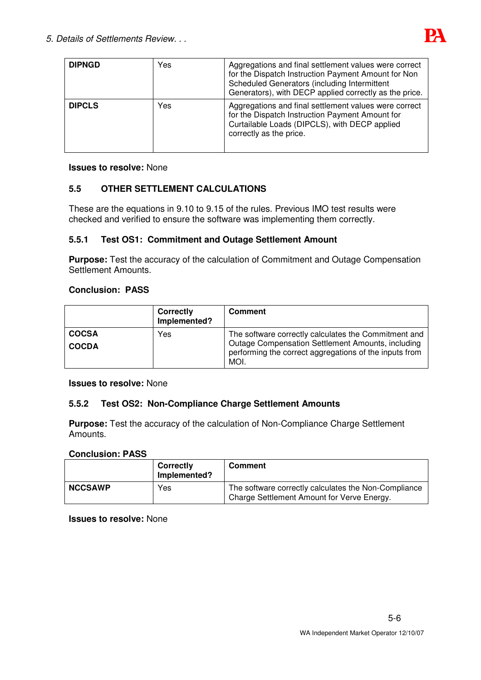

| <b>DIPNGD</b> | Yes | Aggregations and final settlement values were correct<br>for the Dispatch Instruction Payment Amount for Non<br>Scheduled Generators (including Intermittent<br>Generators), with DECP applied correctly as the price. |
|---------------|-----|------------------------------------------------------------------------------------------------------------------------------------------------------------------------------------------------------------------------|
| <b>DIPCLS</b> | Yes | Aggregations and final settlement values were correct<br>for the Dispatch Instruction Payment Amount for<br>Curtailable Loads (DIPCLS), with DECP applied<br>correctly as the price.                                   |

#### **Issues to resolve:** None

# **5.5 OTHER SETTLEMENT CALCULATIONS**

These are the equations in 9.10 to 9.15 of the rules. Previous IMO test results were checked and verified to ensure the software was implementing them correctly.

## **5.5.1 Test OS1: Commitment and Outage Settlement Amount**

**Purpose:** Test the accuracy of the calculation of Commitment and Outage Compensation Settlement Amounts.

## **Conclusion: PASS**

|                              | Correctly<br>Implemented? | <b>Comment</b>                                                                                                                                                              |
|------------------------------|---------------------------|-----------------------------------------------------------------------------------------------------------------------------------------------------------------------------|
| <b>COCSA</b><br><b>COCDA</b> | Yes                       | The software correctly calculates the Commitment and<br>Outage Compensation Settlement Amounts, including<br>performing the correct aggregations of the inputs from<br>MOI. |

#### **Issues to resolve:** None

## **5.5.2 Test OS2: Non-Compliance Charge Settlement Amounts**

**Purpose:** Test the accuracy of the calculation of Non-Compliance Charge Settlement Amounts.

#### **Conclusion: PASS**

|                | Correctly<br>Implemented? | <b>Comment</b>                                                                                     |
|----------------|---------------------------|----------------------------------------------------------------------------------------------------|
| <b>NCCSAWP</b> | Yes                       | The software correctly calculates the Non-Compliance<br>Charge Settlement Amount for Verve Energy. |

**Issues to resolve:** None